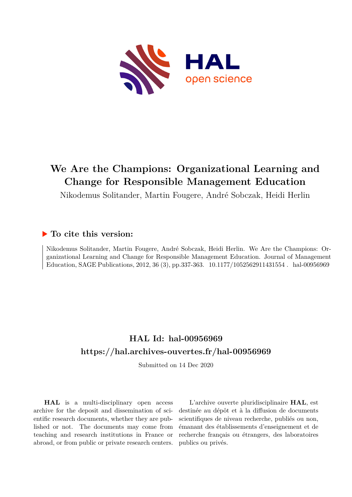

# **We Are the Champions: Organizational Learning and Change for Responsible Management Education**

Nikodemus Solitander, Martin Fougere, André Sobczak, Heidi Herlin

# **To cite this version:**

Nikodemus Solitander, Martin Fougere, André Sobczak, Heidi Herlin. We Are the Champions: Organizational Learning and Change for Responsible Management Education. Journal of Management Education, SAGE Publications, 2012, 36 (3), pp.337-363.  $10.1177/1052562911431554$ . hal-00956969

# **HAL Id: hal-00956969 <https://hal.archives-ouvertes.fr/hal-00956969>**

Submitted on 14 Dec 2020

**HAL** is a multi-disciplinary open access archive for the deposit and dissemination of scientific research documents, whether they are published or not. The documents may come from teaching and research institutions in France or abroad, or from public or private research centers.

L'archive ouverte pluridisciplinaire **HAL**, est destinée au dépôt et à la diffusion de documents scientifiques de niveau recherche, publiés ou non, émanant des établissements d'enseignement et de recherche français ou étrangers, des laboratoires publics ou privés.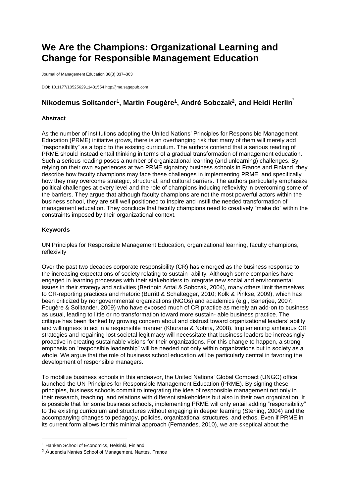# **We Are the Champions: Organizational Learning and Change for Responsible Management Education**

Journal of Management Education 36(3) 337–363

DOI: 10.1177/1052562911431554 http://jme.sagepub.com

# **Nikodemus Solitander<sup>1</sup> , Martin Fougère<sup>1</sup> , André Sobczak<sup>2</sup> , and Heidi Herlin<sup>1</sup>**

#### **Abstract**

As the number of institutions adopting the United Nations' Principles for Responsible Management Education (PRME) initiative grows, there is an overhanging risk that many of them will merely add "responsibility" as a topic to the existing curriculum. The authors contend that a serious reading of PRME should instead entail thinking in terms of a gradual transformation of management education. Such a serious reading poses a number of organizational learning (and unlearning) challenges. By relying on their own experiences at two PRME signatory business schools in France and Finland, they describe how faculty champions may face these challenges in implementing PRME, and specifically how they may overcome strategic, structural, and cultural barriers. The authors particularly emphasize political challenges at every level and the role of champions inducing reflexivity in overcoming some of the barriers. They argue that although faculty champions are not the most powerful actors within the business school, they are still well positioned to inspire and instill the needed transformation of management education. They conclude that faculty champions need to creatively "make do" within the constraints imposed by their organizational context.

#### **Keywords**

UN Principles for Responsible Management Education, organizational learning, faculty champions, reflexivity

Over the past two decades corporate responsibility (CR) has emerged as the business response to the increasing expectations of society relating to sustain- ability. Although some companies have engaged in learning processes with their stakeholders to integrate new social and environmental issues in their strategy and activities (Berthoin Antal & Sobczak, 2004), many others limit themselves to CR-reporting practices and rhetoric (Burritt & Schaltegger, 2010; Kolk & Pinkse, 2009), which has been criticized by nongovernmental organizations (NGOs) and academics (e.g., Banerjee, 2007; Fougère & Solitander, 2009) who have exposed much of CR practice as merely an add-on to business as usual, leading to little or no transformation toward more sustain- able business practice. The critique has been flanked by growing concern about and distrust toward organizational leaders' ability and willingness to act in a responsible manner (Khurana & Nohria, 2008). Implementing ambitious CR strategies and regaining lost societal legitimacy will necessitate that business leaders be increasingly proactive in creating sustainable visions for their organizations. For this change to happen, a strong emphasis on "responsible leadership" will be needed not only within organizations but in society as a whole. We argue that the role of business school education will be particularly central in favoring the development of responsible managers.

To mobilize business schools in this endeavor, the United Nations' Global Compact (UNGC) office launched the UN Principles for Responsible Management Education (PRME). By signing these principles, business schools commit to integrating the idea of responsible management not only in their research, teaching, and relations with different stakeholders but also in their own organization. It is possible that for some business schools, implementing PRME will only entail adding "responsibility" to the existing curriculum and structures without engaging in deeper learning (Sterling, 2004) and the accompanying changes to pedagogy, policies, organizational structures, and ethos. Even if PRME in its current form allows for this minimal approach (Fernandes, 2010), we are skeptical about the

 $\overline{a}$ 

<sup>1</sup> Hanken School of Economics, Helsinki, Finland

<sup>2</sup> Audencia Nantes School of Management, Nantes, France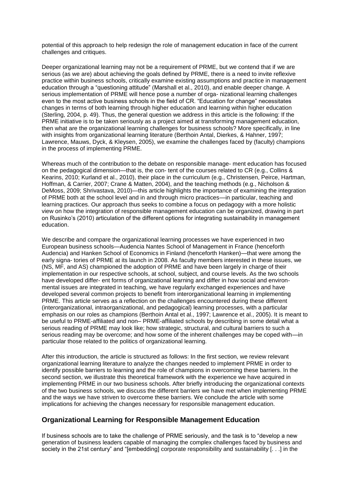potential of this approach to help redesign the role of management education in face of the current challenges and critiques.

Deeper organizational learning may not be a requirement of PRME, but we contend that if we are serious (as we are) about achieving the goals defined by PRME, there is a need to invite reflexive practice within business schools, critically examine existing assumptions and practice in management education through a "questioning attitude" (Marshall et al., 2010), and enable deeper change. A serious implementation of PRME will hence pose a number of orga- nizational learning challenges even to the most active business schools in the field of CR. "Education for change" necessitates changes in terms of both learning through higher education and learning within higher education (Sterling, 2004, p. 49). Thus, the general question we address in this article is the following: If the PRME initiative is to be taken seriously as a project aimed at transforming management education, then what are the organizational learning challenges for business schools? More specifically, in line with insights from organizational learning literature (Berthoin Antal, Dierkes, & Hahner, 1997; Lawrence, Mauws, Dyck, & Kleysen, 2005), we examine the challenges faced by (faculty) champions in the process of implementing PRME.

Whereas much of the contribution to the debate on responsible manage- ment education has focused on the pedagogical dimension—that is, the con- tent of the courses related to CR (e.g., Collins & Kearins, 2010; Kurland et al., 2010), their place in the curriculum (e.g., Christensen, Peirce, Hartman, Hoffman, & Carrier, 2007; Crane & Matten, 2004), and the teaching methods (e.g., Nicholson & DeMoss, 2009; Shrivastava, 2010)—this article highlights the importance of examining the integration of PRME both at the school level and in and through micro practices—in particular, teaching and learning practices. Our approach thus seeks to combine a focus on pedagogy with a more holistic view on how the integration of responsible management education can be organized, drawing in part on Rusinko's (2010) articulation of the different options for integrating sustainability in management education.

We describe and compare the organizational learning processes we have experienced in two European business schools—Audencia Nantes School of Management in France (henceforth Audencia) and Hanken School of Economics in Finland (henceforth Hanken)—that were among the early signa- tories of PRME at its launch in 2008. As faculty members interested in these issues, we (NS, MF, and AS) championed the adoption of PRME and have been largely in charge of their implementation in our respective schools, at school, subject, and course levels. As the two schools have developed differ- ent forms of organizational learning and differ in how social and environmental issues are integrated in teaching, we have regularly exchanged experiences and have developed several common projects to benefit from interorganizational learning in implementing PRME. This article serves as a reflection on the challenges encountered during these different (interorganizational, intraorganizational, and pedagogical) learning processes, with a particular emphasis on our roles as champions (Berthoin Antal et al., 1997; Lawrence et al., 2005). It is meant to be useful to PRME-affiliated and non– PRME-affiliated schools by describing in some detail what a serious reading of PRME may look like; how strategic, structural, and cultural barriers to such a serious reading may be overcome; and how some of the inherent challenges may be coped with—in particular those related to the politics of organizational learning.

After this introduction, the article is structured as follows: In the first section, we review relevant organizational learning literature to analyze the changes needed to implement PRME in order to identify possible barriers to learning and the role of champions in overcoming these barriers. In the second section, we illustrate this theoretical framework with the experience we have acquired in implementing PRME in our two business schools. After briefly introducing the organizational contexts of the two business schools, we discuss the different barriers we have met when implementing PRME and the ways we have striven to overcome these barriers. We conclude the article with some implications for achieving the changes necessary for responsible management education.

## **Organizational Learning for Responsible Management Education**

If business schools are to take the challenge of PRME seriously, and the task is to "develop a new generation of business leaders capable of managing the complex challenges faced by business and society in the 21st century" and "[embedding] corporate responsibility and sustainability [. . .] in the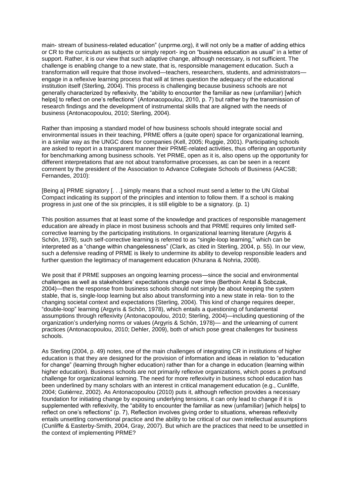main- stream of business-related education" (unprme.org), it will not only be a matter of adding ethics or CR to the curriculum as subjects or simply report- ing on "business education as usual" in a letter of support. Rather, it is our view that such adaptive change, although necessary, is not sufficient. The challenge is enabling change to a new state, that is, responsible management education. Such a transformation will require that those involved—teachers, researchers, students, and administrators engage in a reflexive learning process that will at times question the adequacy of the educational institution itself (Sterling, 2004). This process is challenging because business schools are not generally characterized by reflexivity, the "ability to encounter the familiar as new (unfamiliar) [which helps] to reflect on one's reflections" (Antonacopoulou, 2010, p. 7) but rather by the transmission of research findings and the development of instrumental skills that are aligned with the needs of business (Antonacopoulou, 2010; Sterling, 2004).

Rather than imposing a standard model of how business schools should integrate social and environmental issues in their teaching, PRME offers a (quite open) space for organizational learning, in a similar way as the UNGC does for companies (Kell, 2005; Ruggie, 2001). Participating schools are asked to report in a transparent manner their PRME-related activities, thus offering an opportunity for benchmarking among business schools. Yet PRME, open as it is, also opens up the opportunity for different interpretations that are not about transformative processes, as can be seen in a recent comment by the president of the Association to Advance Collegiate Schools of Business (AACSB; Fernandes, 2010):

[Being a] PRME signatory [. . .] simply means that a school must send a letter to the UN Global Compact indicating its support of the principles and intention to follow them. If a school is making progress in just one of the six principles, it is still eligible to be a signatory. (p. 1)

This position assumes that at least some of the knowledge and practices of responsible management education are already in place in most business schools and that PRME requires only limited selfcorrective learning by the participating institutions. In organizational learning literature (Argyris & Schön, 1978), such self-corrective learning is referred to as "single-loop learning," which can be interpreted as a "change within changelessness" (Clark, as cited in Sterling, 2004, p. 55). In our view, such a defensive reading of PRME is likely to undermine its ability to develop responsible leaders and further question the legitimacy of management education (Khurana & Nohria, 2008).

We posit that if PRME supposes an ongoing learning process—since the social and environmental challenges as well as stakeholders' expectations change over time (Berthoin Antal & Sobczak, 2004)—then the response from business schools should not simply be about keeping the system stable, that is, single-loop learning but also about transforming into a new state in rela- tion to the changing societal context and expectations (Sterling, 2004). This kind of change requires deeper, "double-loop" learning (Argyris & Schön, 1978), which entails a questioning of fundamental assumptions through reflexivity (Antonacopoulou, 2010; Sterling, 2004)—including questioning of the organization's underlying norms or values (Argyris & Schön, 1978)— and the unlearning of current practices (Antonacopoulou, 2010; Dehler, 2009), both of which pose great challenges for business schools.

As Sterling (2004, p. 49) notes, one of the main challenges of integrating CR in institutions of higher education is that they are designed for the provision of information and ideas in relation to "education for change" (learning through higher education) rather than for a change in education (learning within higher education). Business schools are not primarily reflexive organizations, which poses a profound challenge for organizational learning. The need for more reflexivity in business school education has been underlined by many scholars with an interest in critical management education (e.g., Cunliffe, 2004; Gutiérrez, 2002). As Antonacopoulou (2010) puts it, although reflection provides a necessary foundation for initiating change by exposing underlying tensions, it can only lead to change if it is supplemented with reflexivity, the "ability to encounter the familiar as new (unfamiliar) [which helps] to reflect on one's reflections" (p. 7), Reflection involves giving order to situations, whereas reflexivity entails unsettling conventional practice and the ability to be critical of our own intellectual assumptions (Cunliffe & Easterby-Smith, 2004, Gray, 2007). But which are the practices that need to be unsettled in the context of implementing PRME?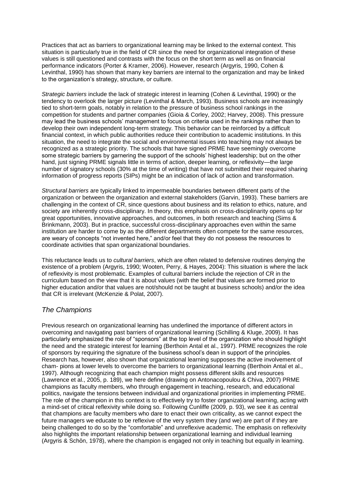Practices that act as barriers to organizational learning may be linked to the external context. This situation is particularly true in the field of CR since the need for organizational integration of these values is still questioned and contrasts with the focus on the short term as well as on financial performance indicators (Porter & Kramer, 2006). However, research (Argyris, 1990, Cohen & Levinthal, 1990) has shown that many key barriers are internal to the organization and may be linked to the organization's strategy, structure, or culture.

*Strategic barriers* include the lack of strategic interest in learning (Cohen & Levinthal, 1990) or the tendency to overlook the larger picture (Levinthal & March, 1993). Business schools are increasingly tied to short-term goals, notably in relation to the pressure of business school rankings in the competition for students and partner companies (Gioia & Corley, 2002; Harvey, 2008). This pressure may lead the business schools' management to focus on criteria used in the rankings rather than to develop their own independent long-term strategy. This behavior can be reinforced by a difficult financial context, in which public authorities reduce their contribution to academic institutions. In this situation, the need to integrate the social and environmental issues into teaching may not always be recognized as a strategic priority. The schools that have signed PRME have seemingly overcome some strategic barriers by garnering the support of the schools' highest leadership; but on the other hand, just signing PRME signals little in terms of action, deeper learning, or reflexivity—the large number of signatory schools (30% at the time of writing) that have not submitted their required sharing information of progress reports (SIPs) might be an indication of lack of action and transformation.

*Structural barriers* are typically linked to impermeable boundaries between different parts of the organization or between the organization and external stakeholders (Garvin, 1993). These barriers are challenging in the context of CR, since questions about business and its relation to ethics, nature, and society are inherently cross-disciplinary. In theory, this emphasis on cross-disciplinarity opens up for great opportunities, innovative approaches, and outcomes, in both research and teaching (Sims & Brinkmann, 2003). But in practice, successful cross-disciplinary approaches even within the same institution are harder to come by as the different departments often compete for the same resources, are weary of concepts "not invented here," and/or feel that they do not possess the resources to coordinate activities that span organizational boundaries.

This reluctance leads us to *cultural barriers*, which are often related to defensive routines denying the existence of a problem (Argyris, 1990; Wooten, Perry, & Hayes, 2004): This situation is where the lack of reflexivity is most problematic. Examples of cultural barriers include the rejection of CR in the curriculum based on the view that it is about values (with the belief that values are formed prior to higher education and/or that values are not/should not be taught at business schools) and/or the idea that CR is irrelevant (McKenzie & Polat, 2007).

### *The Champions*

Previous research on organizational learning has underlined the importance of different actors in overcoming and navigating past barriers of organizational learning (Schilling & Kluge, 2009). It has particularly emphasized the role of "sponsors" at the top level of the organization who should highlight the need and the strategic interest for learning (Berthoin Antal et al., 1997). PRME recognizes the role of sponsors by requiring the signature of the business school's dean in support of the principles. Research has, however, also shown that organizational learning supposes the active involvement of cham- pions at lower levels to overcome the barriers to organizational learning (Berthoin Antal et al., 1997). Although recognizing that each champion might possess different skills and resources (Lawrence et al., 2005, p. 189), we here define (drawing on Antonacopoulou & Chiva, 2007) PRME champions as faculty members, who through engagement in teaching, research, and educational politics, navigate the tensions between individual and organizational priorities in implementing PRME. The role of the champion in this context is to effectively try to foster organizational learning, acting with a mind-set of critical reflexivity while doing so. Following Cunliffe (2009, p. 93), we see it as central that champions are faculty members who dare to enact their own criticality, as we cannot expect the future managers we educate to be reflexive of the very system they (and we) are part of if they are being challenged to do so by the "comfortable" and unreflexive academic. The emphasis on reflexivity also highlights the important relationship between organizational learning and individual learning (Argyris & Schön, 1978), where the champion is engaged not only in teaching but equally in learning.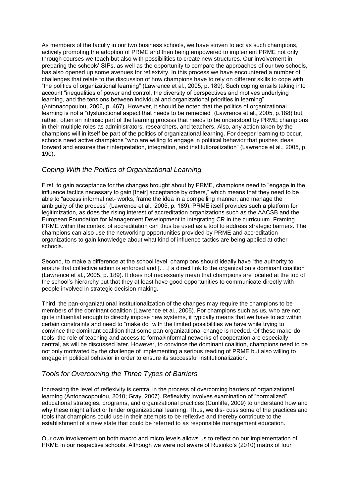As members of the faculty in our two business schools, we have striven to act as such champions, actively promoting the adoption of PRME and then being empowered to implement PRME not only through courses we teach but also with possibilities to create new structures. Our involvement in preparing the schools' SIPs, as well as the opportunity to compare the approaches of our two schools, has also opened up some avenues for reflexivity. In this process we have encountered a number of challenges that relate to the discussion of how champions have to rely on different skills to cope with "the politics of organizational learning" (Lawrence et al., 2005, p. 189). Such coping entails taking into account "inequalities of power and control, the diversity of perspectives and motives underlying learning, and the tensions between individual and organizational priorities in learning" (Antonacopoulou, 2006, p. 467). However, it should be noted that the politics of organizational learning is not a "dysfunctional aspect that needs to be remedied" (Lawrence et al., 2005, p.188) but, rather, often an intrinsic part of the learning process that needs to be understood by PRME champions in their multiple roles as administrators, researchers, and teachers. Also, any action taken by the champions will in itself be part of the politics of organizational learning. For deeper learning to occur, schools need active champions "who are willing to engage in political behavior that pushes ideas forward and ensures their interpretation, integration, and institutionalization" (Lawrence et al., 2005, p. 190).

## *Coping With the Politics of Organizational Learning*

First, to gain acceptance for the changes brought about by PRME, champions need to "engage in the influence tactics necessary to gain [their] acceptance by others," which means that they need to be able to "access informal net- works, frame the idea in a compelling manner, and manage the ambiguity of the process" (Lawrence et al., 2005, p. 189). PRME itself provides such a platform for legitimization, as does the rising interest of accreditation organizations such as the AACSB and the European Foundation for Management Development in integrating CR in the curriculum. Framing PRME within the context of accreditation can thus be used as a tool to address strategic barriers. The champions can also use the networking opportunities provided by PRME and accreditation organizations to gain knowledge about what kind of influence tactics are being applied at other schools.

Second, to make a difference at the school level, champions should ideally have "the authority to ensure that collective action is enforced and [. . .] a direct link to the organization's dominant coalition" (Lawrence et al., 2005, p. 189). It does not necessarily mean that champions are located at the top of the school's hierarchy but that they at least have good opportunities to communicate directly with people involved in strategic decision making.

Third, the pan-organizational institutionalization of the changes may require the champions to be members of the dominant coalition (Lawrence et al., 2005). For champions such as us, who are not quite influential enough to directly impose new systems, it typically means that we have to act within certain constraints and need to "make do" with the limited possibilities we have while trying to convince the dominant coalition that some pan-organizational change is needed. Of these make-do tools, the role of teaching and access to formal/informal networks of cooperation are especially central, as will be discussed later. However, to convince the dominant coalition, champions need to be not only motivated by the challenge of implementing a serious reading of PRME but also willing to engage in political behavior in order to ensure its successful institutionalization.

### *Tools for Overcoming the Three Types of Barriers*

Increasing the level of reflexivity is central in the process of overcoming barriers of organizational learning (Antonacopoulou, 2010; Gray, 2007). Reflexivity involves examination of "normalized" educational strategies, programs, and organizational practices (Cunliffe, 2009) to understand how and why these might affect or hinder organizational learning. Thus, we dis- cuss some of the practices and tools that champions could use in their attempts to be reflexive and thereby contribute to the establishment of a new state that could be referred to as responsible management education.

Our own involvement on both macro and micro levels allows us to reflect on our implementation of PRME in our respective schools. Although we were not aware of Rusinko's (2010) matrix of four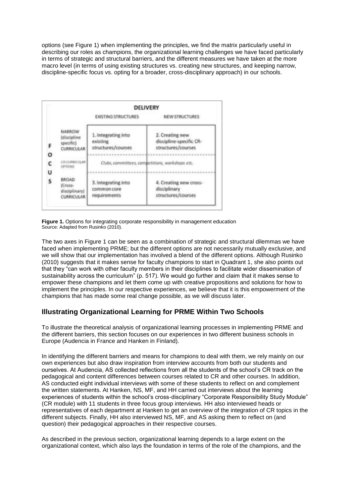options (see Figure 1) when implementing the principles, we find the matrix particularly useful in describing our roles as champions, the organizational learning challenges we have faced particularly in terms of strategic and structural barriers, and the different measures we have taken at the more macro level (in terms of using existing structures vs. creating new structures, and keeping narrow, discipline-specific focus vs. opting for a broader, cross-disciplinary approach) in our schools.



**Figure 1.** Options for integrating corporate responsibility in management education Source: Adapted from Rusinko (2010).

The two axes in Figure 1 can be seen as a combination of strategic and structural dilemmas we have faced when implementing PRME; but the different options are not necessarily mutually exclusive, and we will show that our implementation has involved a blend of the different options. Although Rusinko (2010) suggests that it makes sense for faculty champions to start in Quadrant 1, she also points out that they "can work with other faculty members in their disciplines to facilitate wider dissemination of sustainability across the curriculum" (p. 517). We would go further and claim that it makes sense to empower these champions and let them come up with creative propositions and solutions for how to implement the principles. In our respective experiences, we believe that it is this empowerment of the champions that has made some real change possible, as we will discuss later.

## **Illustrating Organizational Learning for PRME Within Two Schools**

To illustrate the theoretical analysis of organizational learning processes in implementing PRME and the different barriers, this section focuses on our experiences in two different business schools in Europe (Audencia in France and Hanken in Finland).

In identifying the different barriers and means for champions to deal with them, we rely mainly on our own experiences but also draw inspiration from interview accounts from both our students and ourselves. At Audencia, AS collected reflections from all the students of the school's CR track on the pedagogical and content differences between courses related to CR and other courses. In addition, AS conducted eight individual interviews with some of these students to reflect on and complement the written statements. At Hanken, NS, MF, and HH carried out interviews about the learning experiences of students within the school's cross-disciplinary "Corporate Responsibility Study Module" (CR module) with 11 students in three focus group interviews. HH also interviewed heads or representatives of each department at Hanken to get an overview of the integration of CR topics in the different subjects. Finally, HH also interviewed NS, MF, and AS asking them to reflect on (and question) their pedagogical approaches in their respective courses.

As described in the previous section, organizational learning depends to a large extent on the organizational context, which also lays the foundation in terms of the role of the champions, and the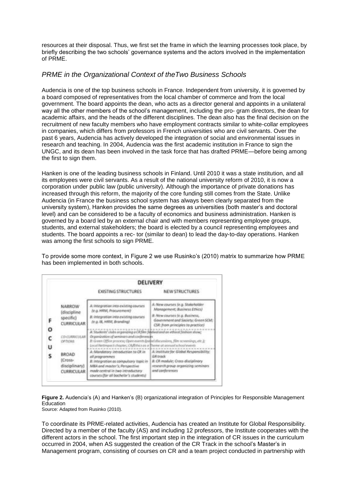resources at their disposal. Thus, we first set the frame in which the learning processes took place, by briefly describing the two schools' governance systems and the actors involved in the implementation of PRME.

## *PRME in the Organizational Context of theTwo Business Schools*

Audencia is one of the top business schools in France. Independent from university, it is governed by a board composed of representatives from the local chamber of commerce and from the local government. The board appoints the dean, who acts as a director general and appoints in a unilateral way all the other members of the school's management, including the pro- gram directors, the dean for academic affairs, and the heads of the different disciplines. The dean also has the final decision on the recruitment of new faculty members who have employment contracts similar to white-collar employees in companies, which differs from professors in French universities who are civil servants. Over the past 6 years, Audencia has actively developed the integration of social and environmental issues in research and teaching. In 2004, Audencia was the first academic institution in France to sign the UNGC, and its dean has been involved in the task force that has drafted PRME—before being among the first to sign them.

Hanken is one of the leading business schools in Finland. Until 2010 it was a state institution, and all its employees were civil servants. As a result of the national university reform of 2010, it is now a corporation under public law (public university). Although the importance of private donations has increased through this reform, the majority of the core funding still comes from the State. Unlike Audencia (in France the business school system has always been clearly separated from the university system), Hanken provides the same degrees as universities (both master's and doctoral level) and can be considered to be a faculty of economics and business administration. Hanken is governed by a board led by an external chair and with members representing employee groups, students, and external stakeholders; the board is elected by a council representing employees and students. The board appoints a rec- tor (similar to dean) to lead the day-to-day operations. Hanken was among the first schools to sign PRME.

To provide some more context, in Figure 2 we use Rusinko's (2010) matrix to summarize how PRME has been implemented in both schools.



**Figure 2.** Audencia's (A) and Hanken's (B) organizational integration of Principles for Responsible Management **Education** 

Source: Adapted from Rusinko (2010).

To coordinate its PRME-related activities, Audencia has created an Institute for Global Responsibility. Directed by a member of the faculty (AS) and including 12 professors, the Institute cooperates with the different actors in the school. The first important step in the integration of CR issues in the curriculum occurred in 2004, when AS suggested the creation of the CR Track in the school's Master's in Management program, consisting of courses on CR and a team project conducted in partnership with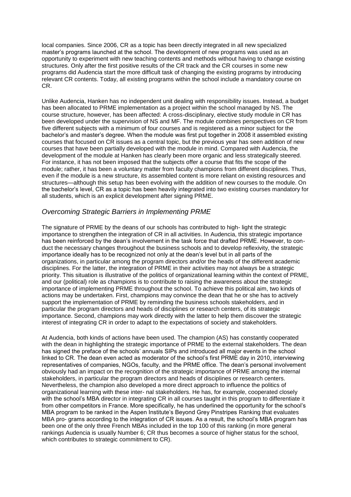local companies. Since 2006, CR as a topic has been directly integrated in all new specialized master's programs launched at the school. The development of new programs was used as an opportunity to experiment with new teaching contents and methods without having to change existing structures. Only after the first positive results of the CR track and the CR courses in some new programs did Audencia start the more difficult task of changing the existing programs by introducing relevant CR contents. Today, all existing programs within the school include a mandatory course on CR.

Unlike Audencia, Hanken has no independent unit dealing with responsibility issues. Instead, a budget has been allocated to PRME implementation as a project within the school managed by NS. The course structure, however, has been affected: A cross-disciplinary, elective study module in CR has been developed under the supervision of NS and MF. The module combines perspectives on CR from five different subjects with a minimum of four courses and is registered as a minor subject for the bachelor's and master's degree. When the module was first put together in 2008 it assembled existing courses that focused on CR issues as a central topic, but the previous year has seen addition of new courses that have been partially developed with the module in mind. Compared with Audencia, the development of the module at Hanken has clearly been more organic and less strategically steered. For instance, it has not been imposed that the subjects offer a course that fits the scope of the module; rather, it has been a voluntary matter from faculty champions from different disciplines. Thus, even if the module is a new structure, its assembled content is more reliant on existing resources and structures—although this setup has been evolving with the addition of new courses to the module. On the bachelor's level, CR as a topic has been heavily integrated into two existing courses mandatory for all students, which is an explicit development after signing PRME.

## *Overcoming Strategic Barriers in Implementing PRME*

The signature of PRME by the deans of our schools has contributed to high- light the strategic importance to strengthen the integration of CR in all activities. In Audencia, this strategic importance has been reinforced by the dean's involvement in the task force that drafted PRME. However, to conduct the necessary changes throughout the business schools and to develop reflexivity, the strategic importance ideally has to be recognized not only at the dean's level but in all parts of the organizations, in particular among the program directors and/or the heads of the different academic disciplines. For the latter, the integration of PRME in their activities may not always be a strategic priority. This situation is illustrative of the politics of organizational learning within the context of PRME, and our (political) role as champions is to contribute to raising the awareness about the strategic importance of implementing PRME throughout the school. To achieve this political aim, two kinds of actions may be undertaken. First, champions may convince the dean that he or she has to actively support the implementation of PRME by reminding the business schools stakeholders, and in particular the program directors and heads of disciplines or research centers, of its strategic importance. Second, champions may work directly with the latter to help them discover the strategic interest of integrating CR in order to adapt to the expectations of society and stakeholders.

At Audencia, both kinds of actions have been used. The champion (AS) has constantly cooperated with the dean in highlighting the strategic importance of PRME to the external stakeholders. The dean has signed the preface of the schools' annuals SIPs and introduced all major events in the school linked to CR. The dean even acted as moderator of the school's first PRME day in 2010, interviewing representatives of companies, NGOs, faculty, and the PRME office. The dean's personal involvement obviously had an impact on the recognition of the strategic importance of PRME among the internal stakeholders, in particular the program directors and heads of disciplines or research centers. Nevertheless, the champion also developed a more direct approach to influence the politics of organizational learning with these inter- nal stakeholders. He has, for example, cooperated closely with the school's MBA director in integrating CR in all courses taught in this program to differentiate it from other competitors in France. More specifically, he has underlined the opportunity for the school's MBA program to be ranked in the Aspen Institute's Beyond Grey Pinstripes Ranking that evaluates MBA pro- grams according to the integration of CR issues. As a result, the school's MBA program has been one of the only three French MBAs included in the top 100 of this ranking (in more general rankings Audencia is usually Number 6; CR thus becomes a source of higher status for the school, which contributes to strategic commitment to CR).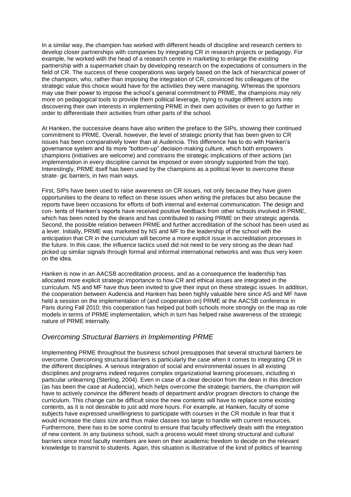In a similar way, the champion has worked with different heads of discipline and research centers to develop closer partnerships with companies by integrating CR in research projects or pedagogy. For example, he worked with the head of a research centre in marketing to enlarge the existing partnership with a supermarket chain by developing research on the expectations of consumers in the field of CR. The success of these cooperations was largely based on the lack of hierarchical power of the champion, who, rather than imposing the integration of CR, convinced his colleagues of the strategic value this choice would have for the activities they were managing. Whereas the sponsors may use their power to impose the school's general commitment to PRME, the champions may rely more on pedagogical tools to provide them political leverage, trying to nudge different actors into discovering their own interests in implementing PRME in their own activities or even to go further in order to differentiate their activities from other parts of the school.

At Hanken, the successive deans have also written the preface to the SIPs, showing their continued commitment to PRME. Overall, however, the level of strategic priority that has been given to CR issues has been comparatively lower than at Audencia. This difference has to do with Hanken's governance system and its more "bottom-up" decision-making culture, which both empowers champions (initiatives are welcome) and constrains the strategic implications of their actions (an implementation in every discipline cannot be imposed or even strongly supported from the top). Interestingly, PRME itself has been used by the champions as a political lever to overcome these strate- gic barriers, in two main ways.

First, SIPs have been used to raise awareness on CR issues, not only because they have given opportunities to the deans to reflect on these issues when writing the prefaces but also because the reports have been occasions for efforts of both internal and external communication. The design and con- tents of Hanken's reports have received positive feedback from other schools involved in PRME, which has been noted by the deans and has contributed to raising PRME on their strategic agenda. Second, the possible relation between PRME and further accreditation of the school has been used as a lever. Initially, PRME was marketed by NS and MF to the leadership of the school with the anticipation that CR in the curriculum will become a more explicit issue in accreditation processes in the future. In this case, the influence tactics used did not need to be very strong as the dean had picked up similar signals through formal and informal international networks and was thus very keen on the idea.

Hanken is now in an AACSB accreditation process, and as a consequence the leadership has allocated more explicit strategic importance to how CR and ethical issues are integrated in the curriculum. NS and MF have thus been invited to give their input on these strategic issues. In addition, the cooperation between Audencia and Hanken has been highly valuable here since AS and MF have held a session on the implementation of (and cooperation on) PRME at the AACSB conference in Paris during Fall 2010; this cooperation has helped put both schools more strongly on the map as role models in terms of PRME implementation, which in turn has helped raise awareness of the strategic nature of PRME internally.

### *Overcoming Structural Barriers in Implementing PRME*

Implementing PRME throughout the business school presupposes that several structural barriers be overcome. Overcoming structural barriers is particularly the case when it comes to integrating CR in the different disciplines. A serious integration of social and environmental issues in all existing disciplines and programs indeed requires complex organizational learning processes, including in particular unlearning (Sterling, 2004). Even in case of a clear decision from the dean in this direction (as has been the case at Audencia), which helps overcome the strategic barriers, the champion will have to actively convince the different heads of department and/or program directors to change the curriculum. This change can be difficult since the new contents will have to replace some existing contents, as it is not desirable to just add more hours. For example, at Hanken, faculty of some subjects have expressed unwillingness to participate with courses in the CR module in fear that it would increase the class size and thus make classes too large to handle with current resources. Furthermore, there has to be some control to ensure that faculty effectively deals with the integration of new content. In any business school, such a process would meet strong structural and cultural barriers since most faculty members are keen on their academic freedom to decide on the relevant knowledge to transmit to students. Again, this situation is illustrative of the kind of politics of learning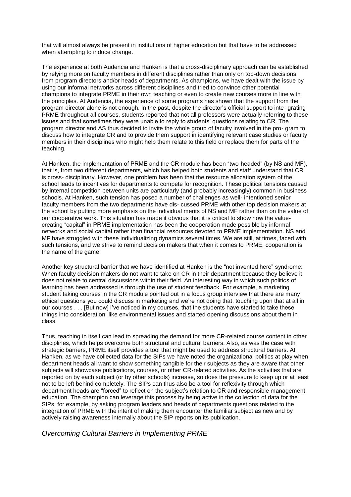that will almost always be present in institutions of higher education but that have to be addressed when attempting to induce change.

The experience at both Audencia and Hanken is that a cross-disciplinary approach can be established by relying more on faculty members in different disciplines rather than only on top-down decisions from program directors and/or heads of departments. As champions, we have dealt with the issue by using our informal networks across different disciplines and tried to convince other potential champions to integrate PRME in their own teaching or even to create new courses more in line with the principles. At Audencia, the experience of some programs has shown that the support from the program director alone is not enough. In the past, despite the director's official support to inte- grating PRME throughout all courses, students reported that not all professors were actually referring to these issues and that sometimes they were unable to reply to students' questions relating to CR. The program director and AS thus decided to invite the whole group of faculty involved in the pro- gram to discuss how to integrate CR and to provide them support in identifying relevant case studies or faculty members in their disciplines who might help them relate to this field or replace them for parts of the teaching.

At Hanken, the implementation of PRME and the CR module has been "two-headed" (by NS and MF), that is, from two different departments, which has helped both students and staff understand that CR is cross- disciplinary. However, one problem has been that the resource allocation system of the school leads to incentives for departments to compete for recognition. These political tensions caused by internal competition between units are particularly (and probably increasingly) common in business schools. At Hanken, such tension has posed a number of challenges as well- intentioned senior faculty members from the two departments have dis- cussed PRME with other top decision makers at the school by putting more emphasis on the individual merits of NS and MF rather than on the value of our cooperative work. This situation has made it obvious that it is critical to show how the valuecreating "capital" in PRME implementation has been the cooperation made possible by informal networks and social capital rather than financial resources devoted to PRME implementation. NS and MF have struggled with these individualizing dynamics several times. We are still, at times, faced with such tensions, and we strive to remind decision makers that when it comes to PRME, cooperation is the name of the game.

Another key structural barrier that we have identified at Hanken is the "not invented here" syndrome: When faculty decision makers do not want to take on CR in their department because they believe it does not relate to central discussions within their field. An interesting way in which such politics of learning has been addressed is through the use of student feedback. For example, a marketing student taking courses in the CR module pointed out in a focus group interview that there are many ethical questions you could discuss in marketing and we're not doing that, touching upon that at all in our courses . . . [But now] I've noticed in my courses, that the students have started to take these things into consideration, like environmental issues and started opening discussions about them in class.

Thus, teaching in itself can lead to spreading the demand for more CR-related course content in other disciplines, which helps overcome both structural and cultural barriers. Also, as was the case with strategic barriers, PRME itself provides a tool that might be used to address structural barriers. At Hanken, as we have collected data for the SIPs we have noted the organizational politics at play when department heads all want to show something tangible for their subjects as they are aware that other subjects will showcase publications, courses, or other CR-related activities. As the activities that are reported on by each subject (or by other schools) increase, so does the pressure to keep up or at least not to be left behind completely. The SIPs can thus also be a tool for reflexivity through which department heads are "forced" to reflect on the subject's relation to CR and responsible management education. The champion can leverage this process by being active in the collection of data for the SIPs, for example, by asking program leaders and heads of departments questions related to the integration of PRME with the intent of making them encounter the familiar subject as new and by actively raising awareness internally about the SIP reports on its publication.

### *Overcoming Cultural Barriers in Implementing PRME*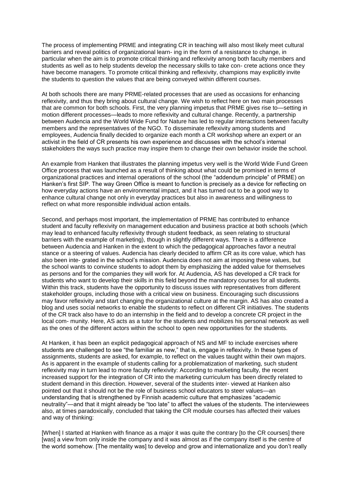The process of implementing PRME and integrating CR in teaching will also most likely meet cultural barriers and reveal politics of organizational learn- ing in the form of a resistance to change, in particular when the aim is to promote critical thinking and reflexivity among both faculty members and students as well as to help students develop the necessary skills to take con- crete actions once they have become managers. To promote critical thinking and reflexivity, champions may explicitly invite the students to question the values that are being conveyed within different courses.

At both schools there are many PRME-related processes that are used as occasions for enhancing reflexivity, and thus they bring about cultural change. We wish to reflect here on two main processes that are common for both schools. First, the very planning impetus that PRME gives rise to—setting in motion different processes—leads to more reflexivity and cultural change. Recently, a partnership between Audencia and the World Wide Fund for Nature has led to regular interactions between faculty members and the representatives of the NGO. To disseminate reflexivity among students and employees, Audencia finally decided to organize each month a CR workshop where an expert or an activist in the field of CR presents his own experience and discusses with the school's internal stakeholders the ways such practice may inspire them to change their own behavior inside the school.

An example from Hanken that illustrates the planning impetus very well is the World Wide Fund Green Office process that was launched as a result of thinking about what could be promised in terms of organizational practices and internal operations of the school (the "addendum principle" of PRME) on Hanken's first SIP. The way Green Office is meant to function is precisely as a device for reflecting on how everyday actions have an environmental impact, and it has turned out to be a good way to enhance cultural change not only in everyday practices but also in awareness and willingness to reflect on what more responsible individual action entails.

Second, and perhaps most important, the implementation of PRME has contributed to enhance student and faculty reflexivity on management education and business practice at both schools (which may lead to enhanced faculty reflexivity through student feedback, as seen relating to structural barriers with the example of marketing), though in slightly different ways. There is a difference between Audencia and Hanken in the extent to which the pedagogical approaches favor a neutral stance or a steering of values. Audencia has clearly decided to affirm CR as its core value, which has also been inte- grated in the school's mission. Audencia does not aim at imposing these values, but the school wants to convince students to adopt them by emphasizing the added value for themselves as persons and for the companies they will work for. At Audencia, AS has developed a CR track for students who want to develop their skills in this field beyond the mandatory courses for all students. Within this track, students have the opportunity to discuss issues with representatives from different stakeholder groups, including those with a critical view on business. Encouraging such discussions may favor reflexivity and start changing the organizational culture at the margin. AS has also created a blog and uses social networks to enable the students to reflect on different CR initiatives. The students of the CR track also have to do an internship in the field and to develop a concrete CR project in the local com- munity. Here, AS acts as a tutor for the students and mobilizes his personal network as well as the ones of the different actors within the school to open new opportunities for the students.

At Hanken, it has been an explicit pedagogical approach of NS and MF to include exercises where students are challenged to see "the familiar as new," that is, engage in reflexivity. In these types of assignments, students are asked, for example, to reflect on the values taught within their own majors. As is apparent in the example of students calling for a problematization of marketing, such student reflexivity may in turn lead to more faculty reflexivity: According to marketing faculty, the recent increased support for the integration of CR into the marketing curriculum has been directly related to student demand in this direction. However, several of the students inter- viewed at Hanken also pointed out that it should not be the role of business school educators to steer values—an understanding that is strengthened by Finnish academic culture that emphasizes "academic neutrality"—and that it might already be "too late" to affect the values of the students. The interviewees also, at times paradoxically, concluded that taking the CR module courses has affected their values and way of thinking:

[When] I started at Hanken with finance as a major it was quite the contrary [to the CR courses] there [was] a view from only inside the company and it was almost as if the company itself is the centre of the world somehow. [The mentality was] to develop and grow and internationalize and you don't really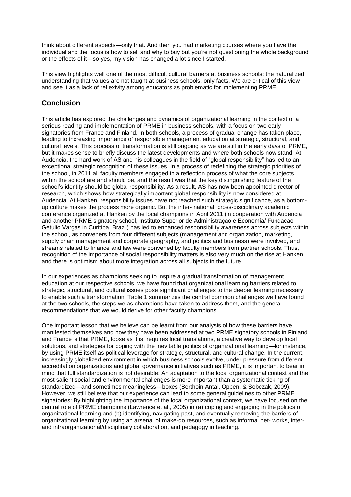think about different aspects—only that. And then you had marketing courses where you have the individual and the focus is how to sell and why to buy but you're not questioning the whole background or the effects of it—so yes, my vision has changed a lot since I started.

This view highlights well one of the most difficult cultural barriers at business schools: the naturalized understanding that values are not taught at business schools, only facts. We are critical of this view and see it as a lack of reflexivity among educators as problematic for implementing PRME.

# **Conclusion**

This article has explored the challenges and dynamics of organizational learning in the context of a serious reading and implementation of PRME in business schools, with a focus on two early signatories from France and Finland. In both schools, a process of gradual change has taken place, leading to increasing importance of responsible management education at strategic, structural, and cultural levels. This process of transformation is still ongoing as we are still in the early days of PRME, but it makes sense to briefly discuss the latest developments and where both schools now stand. At Audencia, the hard work of AS and his colleagues in the field of "global responsibility" has led to an exceptional strategic recognition of these issues. In a process of redefining the strategic priorities of the school, in 2011 all faculty members engaged in a reflection process of what the core subjects within the school are and should be, and the result was that the key distinguishing feature of the school's identity should be global responsibility. As a result, AS has now been appointed director of research, which shows how strategically important global responsibility is now considered at Audencia. At Hanken, responsibility issues have not reached such strategic significance, as a bottomup culture makes the process more organic. But the inter- national, cross-disciplinary academic conference organized at Hanken by the local champions in April 2011 (in cooperation with Audencia and another PRME signatory school, Instituto Superior de Administração e Economia/ Fundacao Getulio Vargas in Curitiba, Brazil) has led to enhanced responsibility awareness across subjects within the school, as conveners from four different subjects (management and organization, marketing, supply chain management and corporate geography, and politics and business) were involved, and streams related to finance and law were convened by faculty members from partner schools. Thus, recognition of the importance of social responsibility matters is also very much on the rise at Hanken, and there is optimism about more integration across all subjects in the future.

In our experiences as champions seeking to inspire a gradual transformation of management education at our respective schools, we have found that organizational learning barriers related to strategic, structural, and cultural issues pose significant challenges to the deeper learning necessary to enable such a transformation. Table 1 summarizes the central common challenges we have found at the two schools, the steps we as champions have taken to address them, and the general recommendations that we would derive for other faculty champions.

One important lesson that we believe can be learnt from our analysis of how these barriers have manifested themselves and how they have been addressed at two PRME signatory schools in Finland and France is that PRME, loose as it is, requires local translations, a creative way to develop local solutions, and strategies for coping with the inevitable politics of organizational learning—for instance, by using PRME itself as political leverage for strategic, structural, and cultural change. In the current, increasingly globalized environment in which business schools evolve, under pressure from different accreditation organizations and global governance initiatives such as PRME, it is important to bear in mind that full standardization is not desirable: An adaptation to the local organizational context and the most salient social and environmental challenges is more important than a systematic ticking of standardized—and sometimes meaningless—boxes (Berthoin Antal, Oppen, & Sobczak, 2009). However, we still believe that our experience can lead to some general guidelines to other PRME signatories: By highlighting the importance of the local organizational context, we have focused on the central role of PRME champions (Lawrence et al., 2005) in (a) coping and engaging in the politics of organizational learning and (b) identifying, navigating past, and eventually removing the barriers of organizational learning by using an arsenal of make-do resources, such as informal net- works, interand intraorganizational/disciplinary collaboration, and pedagogy in teaching.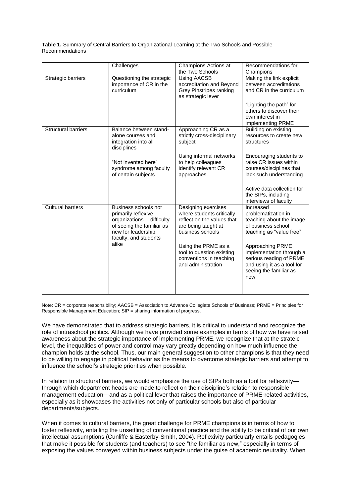**Table 1.** Summary of Central Barriers to Organizational Learning at the Two Schools and Possible Recommendations

|                            | Challenges                                                                                                                                           | Champions Actions at<br>the Two Schools                                                                                   | Recommendations for<br>Champions                                                                                                       |
|----------------------------|------------------------------------------------------------------------------------------------------------------------------------------------------|---------------------------------------------------------------------------------------------------------------------------|----------------------------------------------------------------------------------------------------------------------------------------|
| Strategic barriers         | Questioning the strategic<br>importance of CR in the<br>curriculum                                                                                   | Using AACSB<br>accreditation and Beyond<br><b>Grey Pinstripes ranking</b><br>as strategic lever                           | Making the link explicit<br>between accreditations<br>and CR in the curriculum                                                         |
|                            |                                                                                                                                                      |                                                                                                                           | "Lighting the path" for<br>others to discover their<br>own interest in<br>implementing PRME                                            |
| <b>Structural barriers</b> | Balance between stand-<br>alone courses and<br>integration into all<br>disciplines                                                                   | Approaching CR as a<br>strictly cross-disciplinary<br>subject                                                             | Building on existing<br>resources to create new<br>structures                                                                          |
|                            | "Not invented here"<br>syndrome among faculty<br>of certain subjects                                                                                 | Using informal networks<br>to help colleagues<br>identify relevant CR<br>approaches                                       | Encouraging students to<br>raise CR issues within<br>courses/disciplines that<br>lack such understanding                               |
|                            |                                                                                                                                                      |                                                                                                                           | Active data collection for<br>the SIPs, including<br>interviews of faculty                                                             |
| <b>Cultural barriers</b>   | Business schools not<br>primarily reflexive<br>organizations-difficulty<br>of seeing the familiar as<br>new for leadership,<br>faculty, and students | Designing exercises<br>where students critically<br>reflect on the values that<br>are being taught at<br>business schools | Increased<br>problematization in<br>teaching about the image<br>of business school<br>teaching as "value free"                         |
|                            | alike                                                                                                                                                | Using the PRME as a<br>tool to question existing<br>conventions in teaching<br>and administration                         | Approaching PRME<br>implementation through a<br>serious reading of PRME<br>and using it as a tool for<br>seeing the familiar as<br>new |
|                            |                                                                                                                                                      |                                                                                                                           |                                                                                                                                        |

Note: CR = corporate responsibility; AACSB = Association to Advance Collegiate Schools of Business; PRME = Principles for Responsible Management Education; SIP = sharing information of progress.

We have demonstrated that to address strategic barriers, it is critical to understand and recognize the role of intraschool politics. Although we have provided some examples in terms of how we have raised awareness about the strategic importance of implementing PRME, we recognize that at the strateic level, the inequalities of power and control may vary greatly depending on how much influence the champion holds at the school. Thus, our main general suggestion to other champions is that they need to be willing to engage in political behavior as the means to overcome strategic barriers and attempt to influence the school's strategic priorities when possible.

In relation to structural barriers, we would emphasize the use of SIPs both as a tool for reflexivitythrough which department heads are made to reflect on their discipline's relation to responsible management education—and as a political lever that raises the importance of PRME-related activities, especially as it showcases the activities not only of particular schools but also of particular departments/subjects.

When it comes to cultural barriers, the great challenge for PRME champions is in terms of how to foster reflexivity, entailing the unsettling of conventional practice and the ability to be critical of our own intellectual assumptions (Cunliffe & Easterby-Smith, 2004). Reflexivity particularly entails pedagogies that make it possible for students (and teachers) to see "the familiar as new," especially in terms of exposing the values conveyed within business subjects under the guise of academic neutrality. When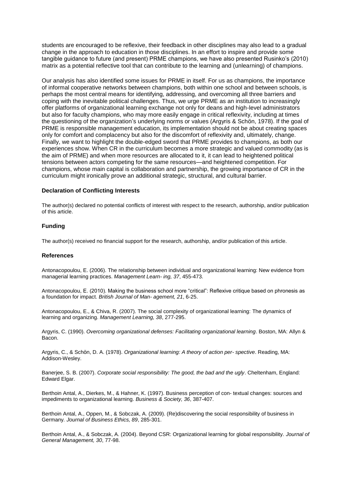students are encouraged to be reflexive, their feedback in other disciplines may also lead to a gradual change in the approach to education in those disciplines. In an effort to inspire and provide some tangible guidance to future (and present) PRME champions, we have also presented Rusinko's (2010) matrix as a potential reflective tool that can contribute to the learning and (unlearning) of champions.

Our analysis has also identified some issues for PRME in itself. For us as champions, the importance of informal cooperative networks between champions, both within one school and between schools, is perhaps the most central means for identifying, addressing, and overcoming all three barriers and coping with the inevitable political challenges. Thus, we urge PRME as an institution to increasingly offer platforms of organizational learning exchange not only for deans and high-level administrators but also for faculty champions, who may more easily engage in critical reflexivity, including at times the questioning of the organization's underlying norms or values (Argyris & Schön, 1978). If the goal of PRME is responsible management education, its implementation should not be about creating spaces only for comfort and complacency but also for the discomfort of reflexivity and, ultimately, change. Finally, we want to highlight the double-edged sword that PRME provides to champions, as both our experiences show. When CR in the curriculum becomes a more strategic and valued commodity (as is the aim of PRME) and when more resources are allocated to it, it can lead to heightened political tensions between actors competing for the same resources—and heightened competition. For champions, whose main capital is collaboration and partnership, the growing importance of CR in the curriculum might ironically prove an additional strategic, structural, and cultural barrier.

#### **Declaration of Conflicting Interests**

The author(s) declared no potential conflicts of interest with respect to the research, authorship, and/or publication of this article.

#### **Funding**

The author(s) received no financial support for the research, authorship, and/or publication of this article.

#### **References**

Antonacopoulou, E. (2006). The relationship between individual and organizational learning: New evidence from managerial learning practices. *Management Learn- ing, 37*, 455-473.

Antonacopoulou, E. (2010). Making the business school more "critical": Reflexive critique based on phronesis as a foundation for impact. *British Journal of Man- agement, 21*, 6-25.

Antonacopoulou, E., & Chiva, R. (2007). The social complexity of organizational learning: The dynamics of learning and organizing. *Management Learning, 38*, 277-295.

Argyris, C. (1990). *Overcoming organizational defenses: Facilitating organizational learning*. Boston, MA: Allyn & Bacon.

Argyris, C., & Schön, D. A. (1978). *Organizational learning: A theory of action per- spective*. Reading, MA: Addison-Wesley.

Banerjee, S. B. (2007). *Corporate social responsibility: The good, the bad and the ugly*. Cheltenham, England: Edward Elgar.

Berthoin Antal, A., Dierkes, M., & Hahner, K. (1997). Business perception of con- textual changes: sources and impediments to organizational learning. *Business & Society, 36*, 387-407.

Berthoin Antal, A., Oppen, M., & Sobczak, A. (2009). (Re)discovering the social responsibility of business in Germany*. Journal of Business Ethics, 89*, 285-301.

Berthoin Antal, A., & Sobczak, A. (2004). Beyond CSR: Organizational learning for global responsibility. *Journal of General Management, 30*, 77-98.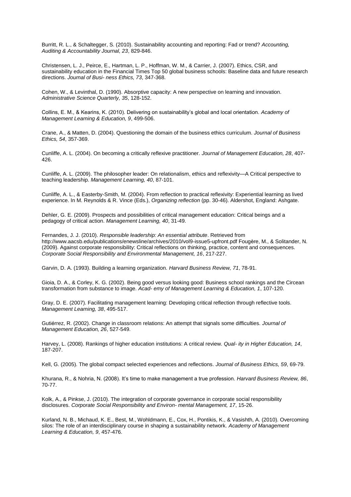Burritt, R. L., & Schaltegger, S. (2010). Sustainability accounting and reporting: Fad or trend? *Accounting, Auditing & Accountability Journal, 23*, 829-846.

Christensen, L. J., Peirce, E., Hartman, L. P., Hoffman, W. M., & Carrier, J. (2007). Ethics, CSR, and sustainability education in the Financial Times Top 50 global business schools: Baseline data and future research directions. *Journal of Busi- ness Ethics, 73*, 347-368.

Cohen, W., & Levinthal, D. (1990). Absorptive capacity: A new perspective on learning and innovation. *Administrative Science Quarterly, 35*, 128-152.

Collins, E. M., & Kearins, K. (2010). Delivering on sustainability's global and local orientation. *Academy of Management Learning & Education, 9*, 499-506.

Crane, A., & Matten, D. (2004). Questioning the domain of the business ethics curriculum. *Journal of Business Ethics, 54*, 357-369.

Cunliffe, A. L. (2004). On becoming a critically reflexive practitioner. *Journal of Management Education, 28*, 407- 426.

Cunliffe, A. L. (2009). The philosopher leader: On relationalism, ethics and reflexivity—A Critical perspective to teaching leadership. *Management Learning, 40*, 87-101.

Cunliffe, A. L., & Easterby-Smith, M. (2004). From reflection to practical reflexivity: Experiential learning as lived experience. In M. Reynolds & R. Vince (Eds.), *Organizing reflection* (pp. 30-46). Aldershot, England: Ashgate.

Dehler, G. E. (2009). Prospects and possibilities of critical management education: Critical beings and a pedagogy of critical action. *Management Learning, 40*, 31-49.

Fernandes, J. J. (2010). *Responsible leadership: An essential attribute*. Retrieved from http://www.aacsb.edu/publications/enewsline/archives/2010/vol9-issue5-upfront.pdf Fougère, M., & Solitander, N. (2009). Against corporate responsibility: Critical reflections on thinking, practice, content and consequences. *Corporate Social Responsibility and Environmental Management, 16*, 217-227.

Garvin, D. A. (1993). Building a learning organization. *Harvard Business Review, 71*, 78-91.

Gioia, D. A., & Corley, K. G. (2002). Being good versus looking good: Business school rankings and the Circean transformation from substance to image. *Acad- emy of Management Learning & Education, 1*, 107-120.

Gray, D. E. (2007). Facilitating management learning: Developing critical reflection through reflective tools. *Management Learning, 38*, 495-517.

Gutiérrez, R. (2002). Change in classroom relations: An attempt that signals some difficulties. *Journal of Management Education, 26*, 527-549.

Harvey, L. (2008). Rankings of higher education institutions: A critical review. *Qual- ity in Higher Education, 14*, 187-207.

Kell, G. (2005). The global compact selected experiences and reflections. *Journal of Business Ethics, 59*, 69-79.

Khurana, R., & Nohria, N. (2008). It's time to make management a true profession. *Harvard Business Review, 86*, 70-77.

Kolk, A., & Pinkse, J. (2010). The integration of corporate governance in corporate social responsibility disclosures. *Corporate Social Responsibility and Environ- mental Management, 17*, 15-26.

Kurland, N. B., Michaud, K. E., Best, M., Wohldmann, E., Cox, H., Pontikis, K., & Vasishth, A. (2010). Overcoming silos: The role of an interdisciplinary course in shaping a sustainability network. *Academy of Management Learning & Education, 9*, 457-476.